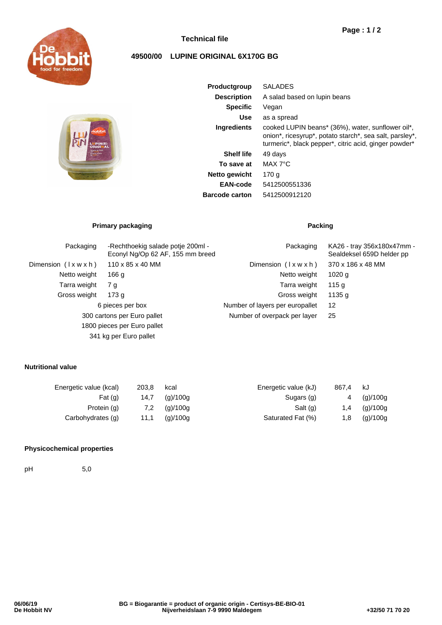

# **Technical file**

# **49500/00 LUPINE ORIGINAL 6X170G BG**



| Productgroup          | <b>SALADES</b>                                                                                                                                                        |  |  |  |  |
|-----------------------|-----------------------------------------------------------------------------------------------------------------------------------------------------------------------|--|--|--|--|
| <b>Description</b>    | A salad based on lupin beans                                                                                                                                          |  |  |  |  |
| <b>Specific</b>       | Vegan                                                                                                                                                                 |  |  |  |  |
| Use                   | as a spread                                                                                                                                                           |  |  |  |  |
| <b>Ingredients</b>    | cooked LUPIN beans* (36%), water, sunflower oil*,<br>onion*, ricesyrup*, potato starch*, sea salt, parsley*,<br>turmeric*, black pepper*, citric acid, ginger powder* |  |  |  |  |
| <b>Shelf life</b>     | 49 days                                                                                                                                                               |  |  |  |  |
| To save at            | MAX 7°C                                                                                                                                                               |  |  |  |  |
| Netto gewicht         | 170 a                                                                                                                                                                 |  |  |  |  |
| <b>EAN-code</b>       | 5412500551336                                                                                                                                                         |  |  |  |  |
| <b>Barcode carton</b> | 5412500912120                                                                                                                                                         |  |  |  |  |
|                       |                                                                                                                                                                       |  |  |  |  |

# **Primary packaging Packing Packing**

| Packaging                   | -Rechthoekig salade potie 200ml -<br>Econyl Ng/Op 62 AF, 155 mm breed | Packaging                       | KA26 - tray 356x180x47mm -<br>Sealdeksel 659D helder pp<br>370 x 186 x 48 MM |  |
|-----------------------------|-----------------------------------------------------------------------|---------------------------------|------------------------------------------------------------------------------|--|
| Dimension (lxwxh)           | $110 \times 85 \times 40$ MM                                          | Dimension $(\forall x w x h)$   |                                                                              |  |
| Netto weight                | 166 <sub>g</sub>                                                      | Netto weight                    | $1020$ q                                                                     |  |
| Tarra weight                | 7 g                                                                   | Tarra weight                    | 115 g                                                                        |  |
| Gross weight                | 173 g                                                                 | Gross weight                    | 1135 g                                                                       |  |
| 6 pieces per box            |                                                                       | Number of layers per europallet | 12                                                                           |  |
| 300 cartons per Euro pallet |                                                                       | Number of overpack per layer    | 25                                                                           |  |
|                             | 1800 pieces per Euro pallet                                           |                                 |                                                                              |  |
|                             | 341 kg per Euro pallet                                                |                                 |                                                                              |  |

## **Nutritional value**

| Energetic value (kcal) | 203.8 | kcal     | Energetic value (kJ) | 867.4 | kJ       |
|------------------------|-------|----------|----------------------|-------|----------|
| Fat $(q)$              | 14,7  | (g)/100g | Sugars (g)           | 4     | (g)/100g |
| Protein (g)            | 7.2   | (g)/100g | Salt (g)             | 1.4   | (g)/100g |
| Carbohydrates (g)      | 11.1  | (g)/100g | Saturated Fat (%)    | 1.8   | (g)/100g |

### **Physicochemical properties**

pH 5,0